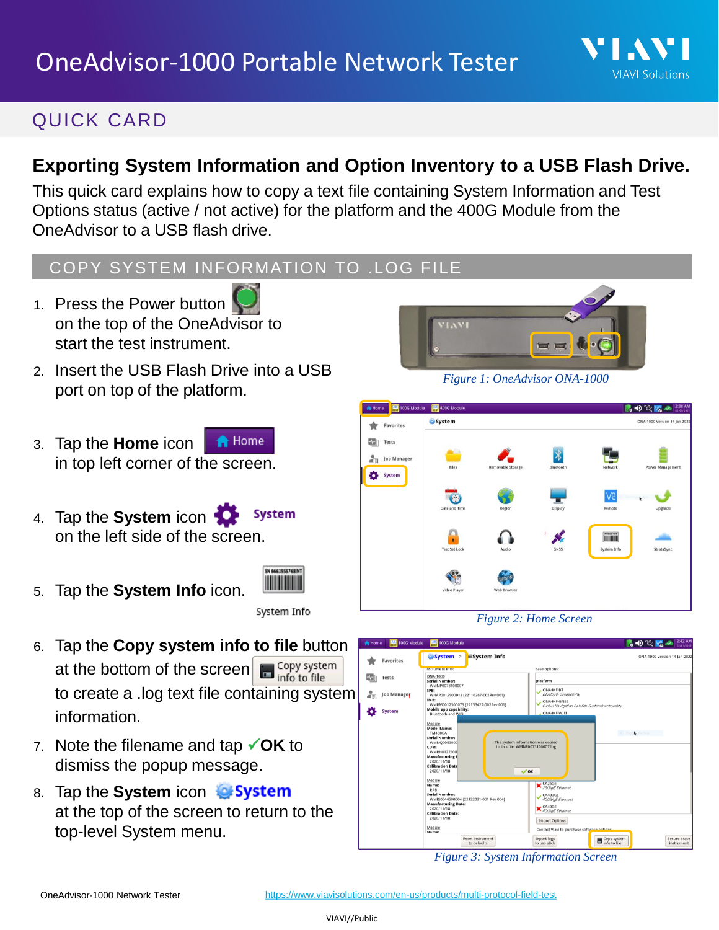## QUICK CARD

## **Exporting System Information and Option Inventory to a USB Flash Drive.**

This quick card explains how to copy a text file containing System Information and Test Options status (active / not active) for the platform and the 400G Module from the OneAdvisor to a USB flash drive.

## COPY SYSTEM INFORMATION TO .LOG FILE

- 1. Press the Power button on the top of the OneAdvisor to start the test instrument.
- 2. Insert the USB Flash Drive into a USB port on top of the platform.
- 3. Tap the **Home** icon **A** Home in top left corner of the screen.
- 4. Tap the **System** icon **System** on the left side of the screen.



5. Tap the **System Info** icon.

System Info

- 6. Tap the **Copy system info to file** button at the bottom of the screen  $\Box$  Copy system to create a .log text file containing system information.
- 7. Note the filename and tap ✓**OK** to dismiss the popup message.
- 8. Tap the **System** icon at the top of the screen to return to the top-level System menu.



VI.AV

**VIAVI Solutions** 

*Figure 1: OneAdvisor ONA-1000*







*Figure 3: System Information Screen*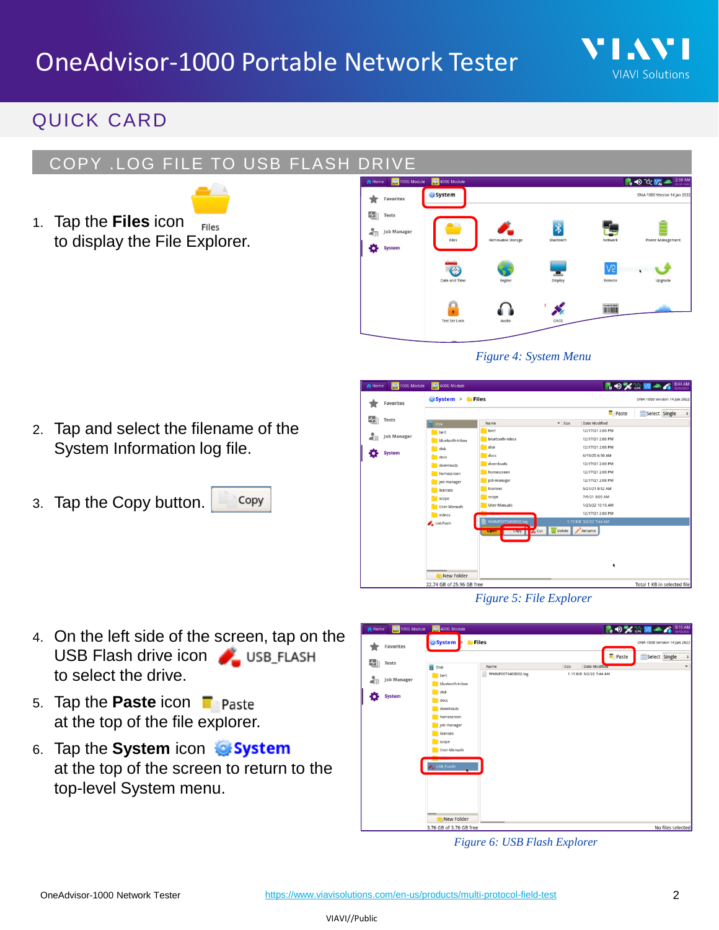

### QUICK CARD

#### COPY .LOG FILE TO USB FLASH DRIVE



1. Tap the **Files** icon to display the File Explorer.



*Figure 4: System Menu*

- 2. Tap and select the filename of the System Information log file.
- 3. Tap the Copy button. Copy



*Figure 5: File Explorer*

- 4. On the left side of the screen, tap on the USB Flash drive icon USB FLASH to select the drive.
- 5. Tap the **Paste** icon at the top of the file explorer.
- 6. Tap the **System** icon at the top of the screen to return to the top-level System menu.



*Figure 6: USB Flash Explorer*